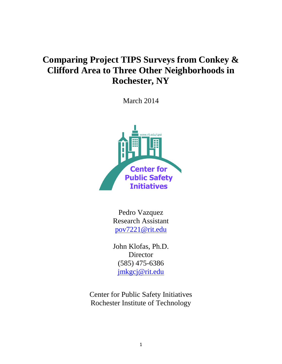# **Comparing Project TIPS Surveys from Conkey & Clifford Area to Three Other Neighborhoods in Rochester, NY**

March 2014



Pedro Vazquez Research Assistant [pov7221@rit.edu](mailto:pov7221@rit.edu)

John Klofas, Ph.D. Director (585) 475-6386 [jmkgcj@rit.edu](mailto:jmkgcj@rit.edu)

Center for Public Safety Initiatives Rochester Institute of Technology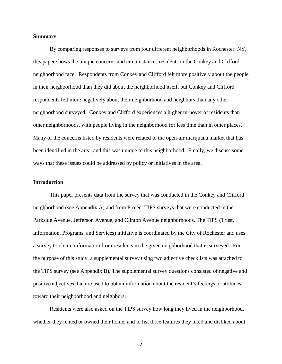### **Summary**

By comparing responses to surveys from four different neighborhoods in Rochester, NY, this paper shows the unique concerns and circumstances residents in the Conkey and Clifford neighborhood face. Respondents from Conkey and Clifford felt more positively about the people in their neighborhood than they did about the neighborhood itself, but Conkey and Clifford respondents felt more negatively about their neighborhood and neighbors than any other neighborhood surveyed. Conkey and Clifford experiences a higher turnover of residents than other neighborhoods, with people living in the neighborhood for less time than in other places. Many of the concerns listed by residents were related to the open-air marijuana market that has been identified in the area, and this was unique to this neighborhood. Finally, we discuss some ways that these issues could be addressed by policy or initiatives in the area.

### **Introduction**

This paper presents data from the survey that was conducted in the Conkey and Clifford neighborhood (see Appendix A) and from Project TIPS surveys that were conducted in the Parkside Avenue, Jefferson Avenue, and Clinton Avenue neighborhoods. The TIPS (Trust, Information, Programs, and Services) initiative is coordinated by the City of Rochester and uses a survey to obtain information from residents in the given neighborhood that is surveyed. For the purpose of this study, a supplemental survey using two adjective checklists was attached to the TIPS survey (see Appendix B). The supplemental survey questions consisted of negative and positive adjectives that are used to obtain information about the resident's feelings or attitudes toward their neighborhood and neighbors.

Residents were also asked on the TIPS survey how long they lived in the neighborhood, whether they rented or owned their home, and to list three features they liked and disliked about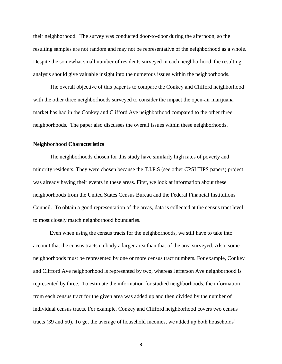their neighborhood. The survey was conducted door-to-door during the afternoon, so the resulting samples are not random and may not be representative of the neighborhood as a whole. Despite the somewhat small number of residents surveyed in each neighborhood, the resulting analysis should give valuable insight into the numerous issues within the neighborhoods.

The overall objective of this paper is to compare the Conkey and Clifford neighborhood with the other three neighborhoods surveyed to consider the impact the open-air marijuana market has had in the Conkey and Clifford Ave neighborhood compared to the other three neighborhoods. The paper also discusses the overall issues within these neighborhoods.

### **Neighborhood Characteristics**

The neighborhoods chosen for this study have similarly high rates of poverty and minority residents. They were chosen because the T.I.P.S (see other CPSI TIPS papers) project was already having their events in these areas. First, we look at information about these neighborhoods from the United States Census Bureau and the Federal Financial Institutions Council. To obtain a good representation of the areas, data is collected at the census tract level to most closely match neighborhood boundaries.

Even when using the census tracts for the neighborhoods, we still have to take into account that the census tracts embody a larger area than that of the area surveyed. Also, some neighborhoods must be represented by one or more census tract numbers. For example, Conkey and Clifford Ave neighborhood is represented by two, whereas Jefferson Ave neighborhood is represented by three. To estimate the information for studied neighborhoods, the information from each census tract for the given area was added up and then divided by the number of individual census tracts. For example, Conkey and Clifford neighborhood covers two census tracts (39 and 50). To get the average of household incomes, we added up both households'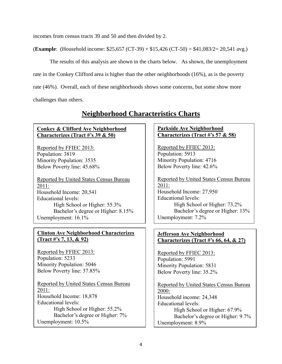incomes from census tracts 39 and 50 and then divided by 2.

(**Example**: (Household income: \$25,657 (CT-39) + \$15,426 (CT-50) = \$41,083/2= 20,541 avg.)

The results of this analysis are shown in the charts below. As shown, the unemployment rate in the Conkey Clifford area is higher than the other neighborhoods (16%), as is the poverty rate (46%). Overall, each of these neighborhoods shows some concerns, but some show more challenges than others.

## **Neighborhood Characteristics Charts**

## **Conkey & Clifford Ave Neighborhood Characterizes (Tract #'s 39 & 50)**

Reported by FFIEC 2013: Population: 3819 Minority Population: 3535 Below Poverty line: 45.68%

Reported by United States Census Bureau 2011: Household Income: 20,541 Educational levels: High School or Higher: 55.3% Bachelor's degree or Higher: 8.15% Unemployment:  $16.1\%$ 

## **Clinton Ave Neighborhood Characterizes (Tract #'s 7, 13, & 92)**

Reported by FFIEC 2013: Population: 5233 Minority Population: 5046 Below Poverty line: 37.85%

Reported by United States Census Bureau 2011: Household Income: 18,878 Educational levels: High School or Higher: 55.2% Bachelor's degree or Higher: 7% Unemployment: 10.5%

## **Parkside Ave Neighborhood Characterizes (Tract #'s 57 & 58)**

Reported by FFIEC 2013: Population: 5913 Minority Population: 4716 Below Poverty line: 42.6%

Reported by United States Census Bureau 2011: Household Income: 27,950 Educational levels: High School or Higher: 73.2% Bachelor's degree or Higher: 13% Unemployment: 7.2%

## **Jefferson Ave Neighborhood Characterizes (Tract #'s 66, 64, & 27)**

Reported by FFIEC 2013: Population: 5991 Minority Population: 5831 Below Poverty line: 35.2%

Reported by United States Census Bureau 2000: Household income: 24,348 Educational levels: High School or Higher: 67.9% Bachelor's degree or Higher: 9.7% Unemployment: 8.9%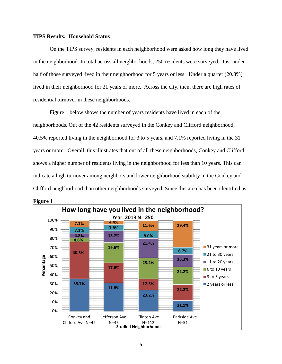### **TIPS Results: Household Status**

On the TIPS survey, residents in each neighborhood were asked how long they have lived in the neighborhood. In total across all neighborhoods, 250 residents were surveyed. Just under half of those surveyed lived in their neighborhood for 5 years or less. Under a quarter (20.8%) lived in their neighborhood for 21 years or more. Across the city, then, there are high rates of residential turnover in these neighborhoods.

Figure 1 below shows the number of years residents have lived in each of the neighborhoods. Out of the 42 residents surveyed in the Conkey and Clifford neighborhood, 40.5% reported living in the neighborhood for 3 to 5 years, and 7.1% reported living in the 31 years or more. Overall, this illustrates that out of all these neighborhoods, Conkey and Clifford shows a higher number of residents living in the neighborhood for less than 10 years. This can indicate a high turnover among neighbors and lower neighborhood stability in the Conkey and Clifford neighborhood than other neighborhoods surveyed. Since this area has been identified as

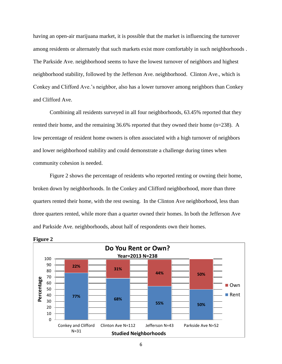having an open-air marijuana market, it is possible that the market is influencing the turnover among residents or alternately that such markets exist more comfortably in such neighborhoods . The Parkside Ave. neighborhood seems to have the lowest turnover of neighbors and highest neighborhood stability, followed by the Jefferson Ave. neighborhood. Clinton Ave., which is Conkey and Clifford Ave.'s neighbor, also has a lower turnover among neighbors than Conkey and Clifford Ave.

Combining all residents surveyed in all four neighborhoods, 63.45% reported that they rented their home, and the remaining 36.6% reported that they owned their home (n=238). A low percentage of resident home owners is often associated with a high turnover of neighbors and lower neighborhood stability and could demonstrate a challenge during times when community cohesion is needed.

Figure 2 shows the percentage of residents who reported renting or owning their home, broken down by neighborhoods. In the Conkey and Clifford neighborhood, more than three quarters rented their home, with the rest owning. In the Clinton Ave neighborhood, less than three quarters rented, while more than a quarter owned their homes. In both the Jefferson Ave and Parkside Ave. neighborhoods, about half of respondents own their homes.



**Figure 2**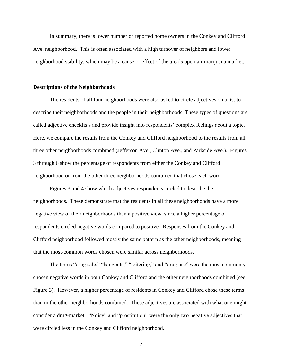In summary, there is lower number of reported home owners in the Conkey and Clifford Ave. neighborhood. This is often associated with a high turnover of neighbors and lower neighborhood stability, which may be a cause or effect of the area's open-air marijuana market.

### **Descriptions of the Neighborhoods**

The residents of all four neighborhoods were also asked to circle adjectives on a list to describe their neighborhoods and the people in their neighborhoods. These types of questions are called adjective checklists and provide insight into respondents' complex feelings about a topic. Here, we compare the results from the Conkey and Clifford neighborhood to the results from all three other neighborhoods combined (Jefferson Ave., Clinton Ave., and Parkside Ave.). Figures 3 through 6 show the percentage of respondents from either the Conkey and Clifford neighborhood or from the other three neighborhoods combined that chose each word.

Figures 3 and 4 show which adjectives respondents circled to describe the neighborhoods. These demonstrate that the residents in all these neighborhoods have a more negative view of their neighborhoods than a positive view, since a higher percentage of respondents circled negative words compared to positive. Responses from the Conkey and Clifford neighborhood followed mostly the same pattern as the other neighborhoods, meaning that the most-common words chosen were similar across neighborhoods.

The terms "drug sale," "hangouts," "loitering," and "drug use" were the most commonlychosen negative words in both Conkey and Clifford and the other neighborhoods combined (see Figure 3). However, a higher percentage of residents in Conkey and Clifford chose these terms than in the other neighborhoods combined. These adjectives are associated with what one might consider a drug-market. "Noisy" and "prostitution" were the only two negative adjectives that were circled less in the Conkey and Clifford neighborhood.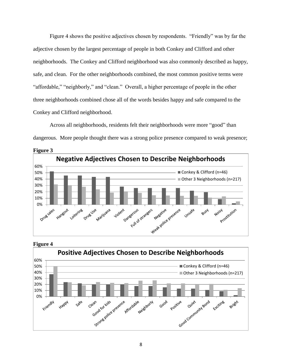Figure 4 shows the positive adjectives chosen by respondents. "Friendly" was by far the adjective chosen by the largest percentage of people in both Conkey and Clifford and other neighborhoods. The Conkey and Clifford neighborhood was also commonly described as happy, safe, and clean. For the other neighborhoods combined, the most common positive terms were "affordable," "neighborly," and "clean." Overall, a higher percentage of people in the other three neighborhoods combined chose all of the words besides happy and safe compared to the Conkey and Clifford neighborhood.

Across all neighborhoods, residents felt their neighborhoods were more "good" than dangerous. More people thought there was a strong police presence compared to weak presence;





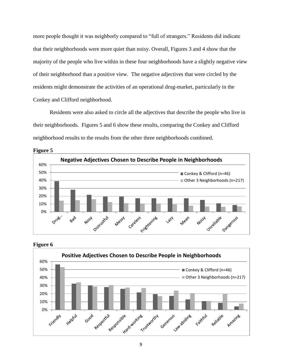more people thought it was neighborly compared to "full of strangers." Residents did indicate that their neighborhoods were more quiet than noisy. Overall, Figures 3 and 4 show that the majority of the people who live within in these four neighborhoods have a slightly negative view of their neighborhood than a positive view. The negative adjectives that were circled by the residents might demonstrate the activities of an operational drug-market, particularly in the Conkey and Clifford neighborhood.

Residents were also asked to circle all the adjectives that describe the people who live in their neighborhoods. Figures 5 and 6 show these results, comparing the Conkey and Clifford neighborhood results to the results from the other three neighborhoods combined.







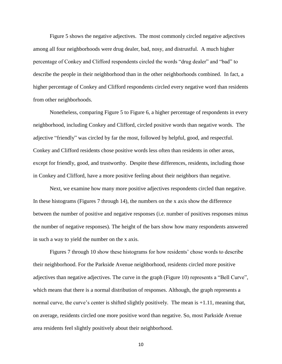Figure 5 shows the negative adjectives. The most commonly circled negative adjectives among all four neighborhoods were drug dealer, bad, nosy, and distrustful. A much higher percentage of Conkey and Clifford respondents circled the words "drug dealer" and "bad" to describe the people in their neighborhood than in the other neighborhoods combined. In fact, a higher percentage of Conkey and Clifford respondents circled every negative word than residents from other neighborhoods.

Nonetheless, comparing Figure 5 to Figure 6, a higher percentage of respondents in every neighborhood, including Conkey and Clifford, circled positive words than negative words. The adjective "friendly" was circled by far the most, followed by helpful, good, and respectful. Conkey and Clifford residents chose positive words less often than residents in other areas, except for friendly, good, and trustworthy. Despite these differences, residents, including those in Conkey and Clifford, have a more positive feeling about their neighbors than negative.

Next, we examine how many more positive adjectives respondents circled than negative. In these histograms (Figures 7 through 14), the numbers on the x axis show the difference between the number of positive and negative responses (i.e. number of positives responses minus the number of negative responses). The height of the bars show how many respondents answered in such a way to yield the number on the x axis.

Figures 7 through 10 show these histograms for how residents' chose words to describe their neighborhood. For the Parkside Avenue neighborhood, residents circled more positive adjectives than negative adjectives. The curve in the graph (Figure 10) represents a "Bell Curve", which means that there is a normal distribution of responses. Although, the graph represents a normal curve, the curve's center is shifted slightly positively. The mean is  $+1.11$ , meaning that, on average, residents circled one more positive word than negative. So, most Parkside Avenue area residents feel slightly positively about their neighborhood.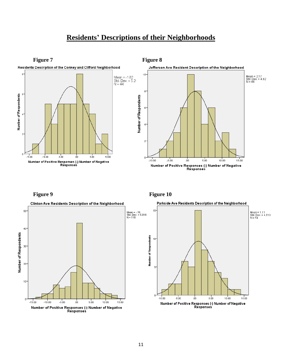# **Residents' Descriptions of their Neighborhoods**





**Figure 9 Figure 10** 

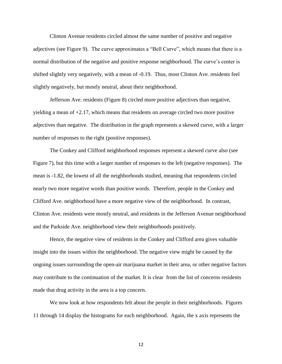Clinton Avenue residents circled almost the same number of positive and negative adjectives (see Figure 9). The curve approximates a "Bell Curve", which means that there is a normal distribution of the negative and positive response neighborhood. The curve's center is shifted slightly very negatively, with a mean of -0.19. Thus, most Clinton Ave. residents feel slightly negatively, but mostly neutral, about their neighborhood.

Jefferson Ave. residents (Figure 8) circled more positive adjectives than negative, yielding a mean of +2.17, which means that residents on average circled two more positive adjectives than negative. The distribution in the graph represents a skewed curve, with a larger number of responses to the right (positive responses).

The Conkey and Clifford neighborhood responses represent a skewed curve also (see Figure 7), but this time with a larger number of responses to the left (negative responses). The mean is -1.82, the lowest of all the neighborhoods studied, meaning that respondents circled nearly two more negative words than positive words. Therefore, people in the Conkey and Clifford Ave. neighborhood have a more negative view of the neighborhood. In contrast, Clinton Ave. residents were mostly neutral, and residents in the Jefferson Avenue neighborhood and the Parkside Ave. neighborhood view their neighborhoods positively.

Hence, the negative view of residents in the Conkey and Clifford area gives valuable insight into the issues within the neighborhood. The negative view might be caused by the ongoing issues surrounding the open-air marijuana market in their area, or other negative factors may contribute to the continuation of the market. It is clear from the list of concerns residents made that drug activity in the area is a top concern.

We now look at how respondents felt about the people in their neighborhoods. Figures 11 through 14 display the histograms for each neighborhood. Again, the x axis represents the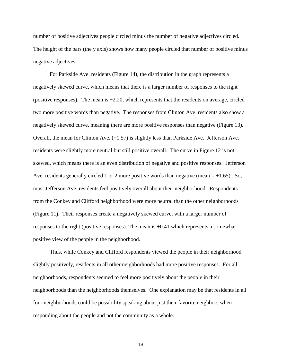number of positive adjectives people circled minus the number of negative adjectives circled. The height of the bars (the y axis) shows how many people circled that number of positive minus negative adjectives.

For Parkside Ave. residents (Figure 14), the distribution in the graph represents a negatively skewed curve, which means that there is a larger number of responses to the right (positive responses). The mean is  $+2.20$ , which represents that the residents on average, circled two more positive words than negative. The responses from Clinton Ave. residents also show a negatively skewed curve, meaning there are more positive responses than negative (Figure 13). Overall, the mean for Clinton Ave. (+1.57) is slightly less than Parkside Ave. Jefferson Ave. residents were slightly more neutral but still positive overall. The curve in Figure 12 is not skewed, which means there is an even distribution of negative and positive responses. Jefferson Ave. residents generally circled 1 or 2 more positive words than negative (mean  $= +1.65$ ). So, most Jefferson Ave. residents feel positively overall about their neighborhood. Respondents from the Conkey and Clifford neighborhood were more neutral than the other neighborhoods (Figure 11). Their responses create a negatively skewed curve, with a larger number of responses to the right (positive responses). The mean is +0.41 which represents a somewhat positive view of the people in the neighborhood.

Thus, while Conkey and Clifford respondents viewed the people in their neighborhood slightly positively, residents in all other neighborhoods had more positive responses. For all neighborhoods, respondents seemed to feel more positively about the people in their neighborhoods than the neighborhoods themselves. One explanation may be that residents in all four neighborhoods could be possibility speaking about just their favorite neighbors when responding about the people and not the community as a whole.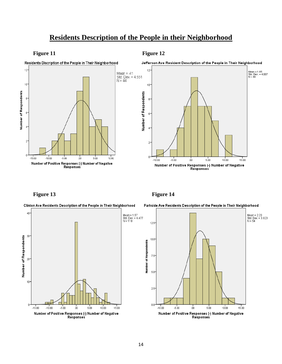## **Residents Description of the People in their Neighborhood**











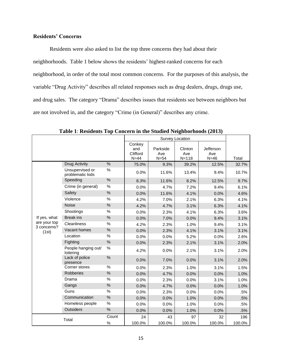## **Residents' Concerns**

Residents were also asked to list the top three concerns they had about their neighborhoods. Table 1 below shows the residents' highest-ranked concerns for each neighborhood, in order of the total most common concerns. For the purposes of this analysis, the variable "Drug Activity" describes all related responses such as drug dealers, drugs, drugs use, and drug sales. The category "Drama" describes issues that residents see between neighbors but are not involved in, and the category "Crime (in General)" describes any crime.

|                             |                                     |               | Survey Location                     |                           |                             |                            |        |
|-----------------------------|-------------------------------------|---------------|-------------------------------------|---------------------------|-----------------------------|----------------------------|--------|
|                             |                                     |               | Conkey<br>and<br>Clifford<br>$N=44$ | Parkside<br>Ave<br>$N=54$ | Clinton<br>Ave<br>$N = 118$ | Jefferson<br>Ave<br>$N=46$ | Total  |
|                             | <b>Drug Activity</b>                | %             | 75.0%                               | 9.3%                      | 39.2%                       | 12.5%                      | 32.7%  |
|                             | Unsupervised or<br>problematic kids | %             | 0.0%                                | 11.6%                     | 13.4%                       | 9.4%                       | 10.7%  |
|                             | Speeding                            | $\%$          | 8.3%                                | 11.6%                     | 8.2%                        | 12.5%                      | 9.7%   |
|                             | Crime (in general)                  | %             | 0.0%                                | 4.7%                      | 7.2%                        | 9.4%                       | 6.1%   |
|                             | Safety                              | $\%$          | 0.0%                                | 11.6%                     | 4.1%                        | 0.0%                       | 4.6%   |
|                             | Violence                            | $\%$          | 4.2%                                | 7.0%                      | 2.1%                        | 6.3%                       | 4.1%   |
|                             | <b>Noise</b>                        | $\%$          | 4.2%                                | 4.7%                      | 3.1%                        | 6.3%                       | 4.1%   |
|                             | Shootings                           | %             | 0.0%                                | 2.3%                      | 4.1%                        | 6.3%                       | 3.6%   |
| If yes, what                | <b>Break</b> ins                    | $\%$          | 0.0%                                | 7.0%                      | 0.0%                        | 9.4%                       | 3.1%   |
| are your top<br>3 concerns? | <b>Cleanliness</b>                  | $\%$          | 4.2%                                | 2.3%                      | 1.0%                        | 9.4%                       | 3.1%   |
| (1st)                       | Vacant homes                        | $\%$          | 0.0%                                | 2.3%                      | 4.1%                        | 3.1%                       | 3.1%   |
|                             | Location                            | %             | 0.0%                                | 0.0%                      | 5.2%                        | 0.0%                       | 2.6%   |
|                             | Fighting                            | $\frac{0}{0}$ | 0.0%                                | 2.3%                      | 2.1%                        | 3.1%                       | 2.0%   |
|                             | People hanging out/<br>loitering    | $\%$          | 4.2%                                | 0.0%                      | 2.1%                        | 3.1%                       | 2.0%   |
|                             | Lack of police<br>presence          | $\%$          | 0.0%                                | 7.0%                      | 0.0%                        | 3.1%                       | 2.0%   |
|                             | Corner stores                       | $\%$          | 0.0%                                | 2.3%                      | 1.0%                        | 3.1%                       | 1.5%   |
|                             | Robberies                           | $\%$          | 0.0%                                | 4.7%                      | 0.0%                        | 0.0%                       | 1.0%   |
|                             | Drama                               | %             | 0.0%                                | 2.3%                      | 0.0%                        | 3.1%                       | 1.0%   |
|                             | Gangs                               | $\%$          | 0.0%                                | 4.7%                      | 0.0%                        | 0.0%                       | 1.0%   |
|                             | Guns                                | %             | 0.0%                                | 2.3%                      | 0.0%                        | 0.0%                       | .5%    |
|                             | Communication                       | $\%$          | 0.0%                                | 0.0%                      | 1.0%                        | 0.0%                       | .5%    |
|                             | Homeless people                     | %             | 0.0%                                | 0.0%                      | 1.0%                        | 0.0%                       | .5%    |
|                             | Outsiders                           | $\%$          | 0.0%                                | 0.0%                      | 1.0%                        | 0.0%                       | .5%    |
|                             | Total                               | Count         | 24                                  | 43                        | 97                          | 32                         | 196    |
|                             |                                     | $\%$          | 100.0%                              | 100.0%                    | 100.0%                      | 100.0%                     | 100.0% |

**Table 1**: **Residents Top Concern in the Studied Neighborhoods (2013)**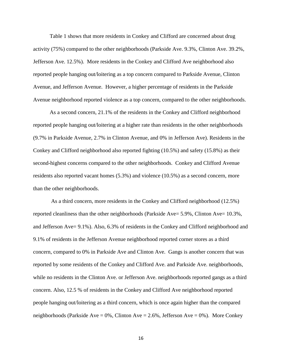Table 1 shows that more residents in Conkey and Clifford are concerned about drug activity (75%) compared to the other neighborhoods (Parkside Ave. 9.3%, Clinton Ave. 39.2%, Jefferson Ave. 12.5%). More residents in the Conkey and Clifford Ave neighborhood also reported people hanging out/loitering as a top concern compared to Parkside Avenue, Clinton Avenue, and Jefferson Avenue. However, a higher percentage of residents in the Parkside Avenue neighborhood reported violence as a top concern, compared to the other neighborhoods.

As a second concern, 21.1% of the residents in the Conkey and Clifford neighborhood reported people hanging out/loitering at a higher rate than residents in the other neighborhoods (9.7% in Parkside Avenue, 2.7% in Clinton Avenue, and 0% in Jefferson Ave). Residents in the Conkey and Clifford neighborhood also reported fighting (10.5%) and safety (15.8%) as their second-highest concerns compared to the other neighborhoods. Conkey and Clifford Avenue residents also reported vacant homes (5.3%) and violence (10.5%) as a second concern, more than the other neighborhoods.

 As a third concern, more residents in the Conkey and Clifford neighborhood (12.5%) reported cleanliness than the other neighborhoods (Parkside Ave= 5.9%, Clinton Ave= 10.3%, and Jefferson Ave= 9.1%). Also, 6.3% of residents in the Conkey and Clifford neighborhood and 9.1% of residents in the Jefferson Avenue neighborhood reported corner stores as a third concern, compared to 0% in Parkside Ave and Clinton Ave. Gangs is another concern that was reported by some residents of the Conkey and Clifford Ave. and Parkside Ave. neighborhoods, while no residents in the Clinton Ave. or Jefferson Ave. neighborhoods reported gangs as a third concern. Also, 12.5 % of residents in the Conkey and Clifford Ave neighborhood reported people hanging out/loitering as a third concern, which is once again higher than the compared neighborhoods (Parkside Ave =  $0\%$ , Clinton Ave =  $2.6\%$ , Jefferson Ave =  $0\%$ ). More Conkey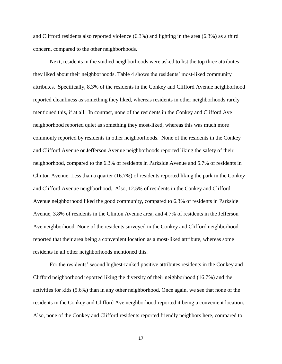and Clifford residents also reported violence (6.3%) and lighting in the area (6.3%) as a third concern, compared to the other neighborhoods.

Next, residents in the studied neighborhoods were asked to list the top three attributes they liked about their neighborhoods. Table 4 shows the residents' most-liked community attributes. Specifically, 8.3% of the residents in the Conkey and Clifford Avenue neighborhood reported cleanliness as something they liked, whereas residents in other neighborhoods rarely mentioned this, if at all. In contrast, none of the residents in the Conkey and Clifford Ave neighborhood reported quiet as something they most-liked, whereas this was much more commonly reported by residents in other neighborhoods. None of the residents in the Conkey and Clifford Avenue or Jefferson Avenue neighborhoods reported liking the safety of their neighborhood, compared to the 6.3% of residents in Parkside Avenue and 5.7% of residents in Clinton Avenue. Less than a quarter (16.7%) of residents reported liking the park in the Conkey and Clifford Avenue neighborhood. Also, 12.5% of residents in the Conkey and Clifford Avenue neighborhood liked the good community, compared to 6.3% of residents in Parkside Avenue, 3.8% of residents in the Clinton Avenue area, and 4.7% of residents in the Jefferson Ave neighborhood. None of the residents surveyed in the Conkey and Clifford neighborhood reported that their area being a convenient location as a most-liked attribute, whereas some residents in all other neighborhoods mentioned this.

For the residents' second highest-ranked positive attributes residents in the Conkey and Clifford neighborhood reported liking the diversity of their neighborhood (16.7%) and the activities for kids (5.6%) than in any other neighborhood. Once again, we see that none of the residents in the Conkey and Clifford Ave neighborhood reported it being a convenient location. Also, none of the Conkey and Clifford residents reported friendly neighbors here, compared to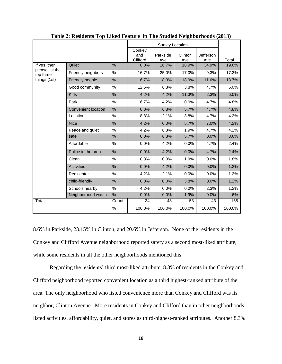|                              |                            |       | <b>Survey Location</b>    |                 |                |                  |        |
|------------------------------|----------------------------|-------|---------------------------|-----------------|----------------|------------------|--------|
|                              |                            |       | Conkey<br>and<br>Clifford | Parkside<br>Ave | Clinton<br>Ave | Jefferson<br>Ave | Total  |
| If yes, then                 | Quiet                      | %     | 0.0%                      | 16.7%           | 18.9%          | 34.9%            | 19.6%  |
| please list the<br>top three | Friendly neighbors         | %     | 16.7%                     | 25.0%           | 17.0%          | 9.3%             | 17.3%  |
| things (1st)                 | <b>Friendly people</b>     | %     | 16.7%                     | 8.3%            | 18.9%          | 11.6%            | 13.7%  |
|                              | Good community             | %     | 12.5%                     | 6.3%            | 3.8%           | 4.7%             | 6.0%   |
|                              | <b>Kids</b>                | $\%$  | 4.2%                      | 4.2%            | 11.3%          | 2.3%             | 6.0%   |
|                              | Park                       | %     | 16.7%                     | 4.2%            | 0.0%           | 4.7%             | 4.8%   |
|                              | <b>Convenient location</b> | %     | 0.0%                      | 6.3%            | 5.7%           | 4.7%             | 4.8%   |
|                              | Location                   | %     | 8.3%                      | 2.1%            | 3.8%           | 4.7%             | 4.2%   |
|                              | <b>Nice</b>                | $\%$  | 4.2%                      | 0.0%            | 5.7%           | 7.0%             | 4.2%   |
|                              | Peace and quiet            | %     | 4.2%                      | 6.3%            | 1.9%           | 4.7%             | 4.2%   |
|                              | safe                       | %     | 0.0%                      | 6.3%            | 5.7%           | 0.0%             | 3.6%   |
|                              | Affordable                 | ℅     | 0.0%                      | 4.2%            | 0.0%           | 4.7%             | 2.4%   |
|                              | Police in the area         | $\%$  | 0.0%                      | 4.2%            | 0.0%           | 4.7%             | 2.4%   |
|                              | Clean                      | ℅     | 8.3%                      | 0.0%            | 1.9%           | 0.0%             | 1.8%   |
|                              | <b>Activities</b>          | $\%$  | 0.0%                      | 4.2%            | 0.0%           | 0.0%             | 1.2%   |
|                              | Rec center                 | %     | 4.2%                      | 2.1%            | 0.0%           | 0.0%             | 1.2%   |
|                              | child-friendly             | $\%$  | 0.0%                      | 0.0%            | 3.8%           | 0.0%             | 1.2%   |
|                              | Schools nearby             | %     | 4.2%                      | 0.0%            | 0.0%           | 2.3%             | 1.2%   |
|                              | Neighborhood watch         | %     | 0.0%                      | 0.0%            | 1.9%           | 0.0%             | .6%    |
| Total                        |                            | Count | 24                        | 48              | 53             | 43               | 168    |
|                              |                            | %     | 100.0%                    | 100.0%          | 100.0%         | 100.0%           | 100.0% |

**Table 2**: **Residents Top Liked Feature in The Studied Neighborhoods (2013)**

8.6% in Parkside, 23.15% in Clinton, and 20.6% in Jefferson. None of the residents in the Conkey and Clifford Avenue neighborhood reported safety as a second most-liked attribute, while some residents in all the other neighborhoods mentioned this.

Regarding the residents' third most-liked attribute, 8.3% of residents in the Conkey and Clifford neighborhood reported convenient location as a third highest-ranked attribute of the area. The only neighborhood who listed convenience more than Conkey and Clifford was its neighbor, Clinton Avenue. More residents in Conkey and Clifford than in other neighborhoods listed activities, affordability, quiet, and stores as third-highest-ranked attributes. Another 8.3%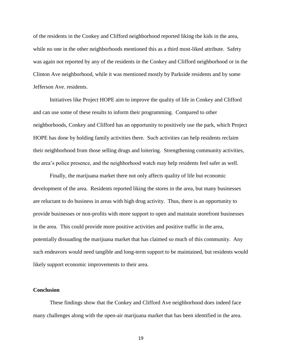of the residents in the Conkey and Clifford neighborhood reported liking the kids in the area, while no one in the other neighborhoods mentioned this as a third most-liked attribute. Safety was again not reported by any of the residents in the Conkey and Clifford neighborhood or in the Clinton Ave neighborhood, while it was mentioned mostly by Parkside residents and by some Jefferson Ave. residents.

Initiatives like Project HOPE aim to improve the quality of life in Conkey and Clifford and can use some of these results to inform their programming. Compared to other neighborhoods, Conkey and Clifford has an opportunity to positively use the park, which Project HOPE has done by holding family activities there. Such activities can help residents reclaim their neighborhood from those selling drugs and loitering. Strengthening community activities, the area's police presence, and the neighborhood watch may help residents feel safer as well.

Finally, the marijuana market there not only affects quality of life but economic development of the area. Residents reported liking the stores in the area, but many businesses are reluctant to do business in areas with high drug activity. Thus, there is an opportunity to provide businesses or non-profits with more support to open and maintain storefront businesses in the area. This could provide more positive activities and positive traffic in the area, potentially dissuading the marijuana market that has claimed so much of this community. Any such endeavors would need tangible and long-term support to be maintained, but residents would likely support economic improvements to their area.

### **Conclusion**

These findings show that the Conkey and Clifford Ave neighborhood does indeed face many challenges along with the open-air marijuana market that has been identified in the area.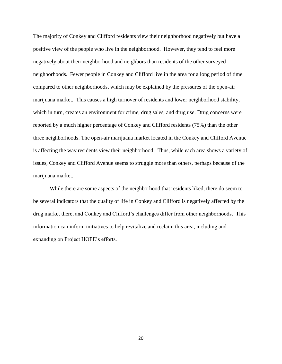The majority of Conkey and Clifford residents view their neighborhood negatively but have a positive view of the people who live in the neighborhood. However, they tend to feel more negatively about their neighborhood and neighbors than residents of the other surveyed neighborhoods. Fewer people in Conkey and Clifford live in the area for a long period of time compared to other neighborhoods, which may be explained by the pressures of the open-air marijuana market. This causes a high turnover of residents and lower neighborhood stability, which in turn, creates an environment for crime, drug sales, and drug use. Drug concerns were reported by a much higher percentage of Conkey and Clifford residents (75%) than the other three neighborhoods. The open-air marijuana market located in the Conkey and Clifford Avenue is affecting the way residents view their neighborhood. Thus, while each area shows a variety of issues, Conkey and Clifford Avenue seems to struggle more than others, perhaps because of the marijuana market.

While there are some aspects of the neighborhood that residents liked, there do seem to be several indicators that the quality of life in Conkey and Clifford is negatively affected by the drug market there, and Conkey and Clifford's challenges differ from other neighborhoods. This information can inform initiatives to help revitalize and reclaim this area, including and expanding on Project HOPE's efforts.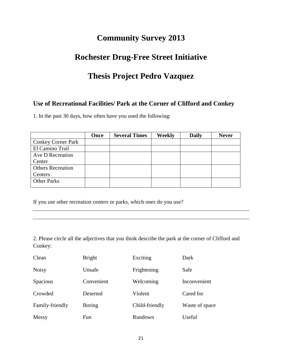# **Community Survey 2013**

# **Rochester Drug-Free Street Initiative**

# **Thesis Project Pedro Vazquez**

## **Use of Recreational Facilities/ Park at the Corner of Clifford and Conkey**

1. In the past 30 days, how often have you used the following:

| Once | <b>Several Times</b> | <b>Weekly</b> | <b>Daily</b> | <b>Never</b> |
|------|----------------------|---------------|--------------|--------------|
|      |                      |               |              |              |
|      |                      |               |              |              |
|      |                      |               |              |              |
|      |                      |               |              |              |
|      |                      |               |              |              |
|      |                      |               |              |              |
|      |                      |               |              |              |
|      |                      |               |              |              |

If you use other recreation centers or parks, which ones do you use?

2. Please circle all the adjectives that you think describe the park at the corner of Clifford and Conkey:

| Clean           | <b>Bright</b> | Exciting       | Dark           |
|-----------------|---------------|----------------|----------------|
| <b>Noisy</b>    | Unsafe        | Frightening    | Safe           |
| Spacious        | Convenient    | Welcoming      | Inconvenient   |
| Crowded         | Deserted      | Violent        | Cared for      |
| Family-friendly | <b>Boring</b> | Child-friendly | Waste of space |
| Messy           | Fun           | Rundown        | Useful         |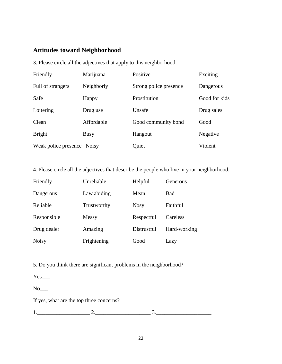## **Attitudes toward Neighborhood**

3. Please circle all the adjectives that apply to this neighborhood:

| Friendly                   | Marijuana  | Positive               | Exciting      |
|----------------------------|------------|------------------------|---------------|
| Full of strangers          | Neighborly | Strong police presence | Dangerous     |
| Safe                       | Happy      | Prostitution           | Good for kids |
| Loitering                  | Drug use   | Unsafe                 | Drug sales    |
| Clean                      | Affordable | Good community bond    | Good          |
| <b>Bright</b>              | Busy       | Hangout                | Negative      |
| Weak police presence Noisy |            | Quiet                  | Violent       |

4. Please circle all the adjectives that describe the people who live in your neighborhood:

| Friendly     | Unreliable  | Helpful     | Generous     |
|--------------|-------------|-------------|--------------|
| Dangerous    | Law abiding | Mean        | Bad          |
| Reliable     | Trustworthy | <b>Nosy</b> | Faithful     |
| Responsible  | Messy       | Respectful  | Careless     |
| Drug dealer  | Amazing     | Distrustful | Hard-working |
| <b>Noisy</b> | Frightening | Good        | Lazy         |

5. Do you think there are significant problems in the neighborhood?

 $Yes$ <sub>\_\_\_\_</sub>

 $No$ <sub>\_\_\_</sub>

If yes, what are the top three concerns?

1.\_\_\_\_\_\_\_\_\_\_\_\_\_\_\_\_\_\_\_ 2.\_\_\_\_\_\_\_\_\_\_\_\_\_\_\_\_\_\_\_\_ 3.\_\_\_\_\_\_\_\_\_\_\_\_\_\_\_\_\_\_\_\_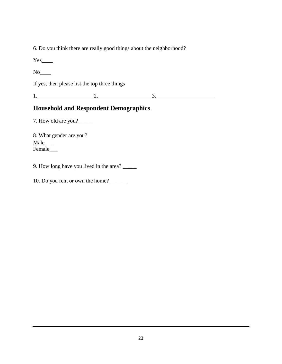6. Do you think there are really good things about the neighborhood?

Yes\_\_\_\_

 $No$ 

If yes, then please list the top three things

1.\_\_\_\_\_\_\_\_\_\_\_\_\_\_\_\_\_\_\_\_ 2.\_\_\_\_\_\_\_\_\_\_\_\_\_\_\_\_\_\_\_ 3.\_\_\_\_\_\_\_\_\_\_\_\_\_\_\_\_\_\_\_\_\_

## **Household and Respondent Demographics**

7. How old are you? \_\_\_\_\_\_

8. What gender are you? Male\_\_\_ Female\_\_\_

9. How long have you lived in the area? \_\_\_\_\_

10. Do you rent or own the home? \_\_\_\_\_\_